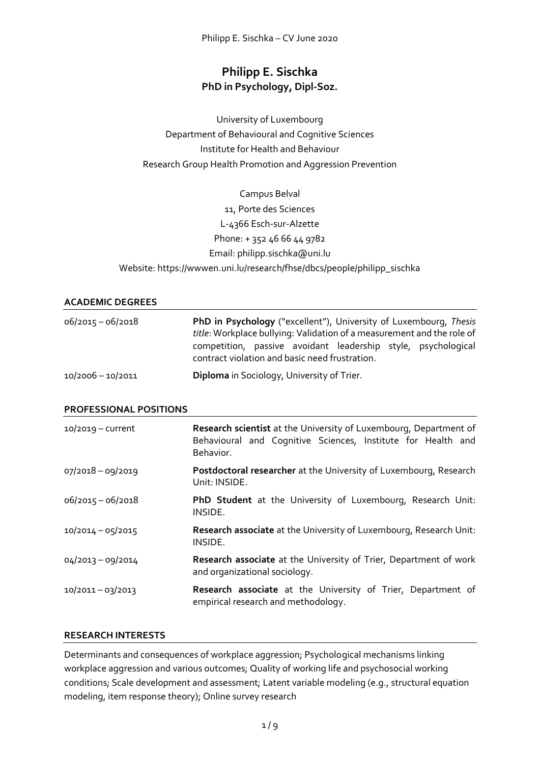# **Philipp E. Sischka PhD in Psychology, Dipl-Soz.**

University of Luxembourg Department of Behavioural and Cognitive Sciences Institute for Health and Behaviour Research Group Health Promotion and Aggression Prevention

Campus Belval 11, Porte des Sciences L-4366 Esch-sur-Alzette Phone: + 352 46 66 44 9782 Email: philipp.sischka@uni.lu Website: https://wwwen.uni.lu/research/fhse/dbcs/people/philipp\_sischka

# **ACADEMIC DEGREES**

| $06/2015 - 06/2018$ | PhD in Psychology ("excellent"), University of Luxembourg, Thesis<br>title: Workplace bullying: Validation of a measurement and the role of<br>competition, passive avoidant leadership style, psychological<br>contract violation and basic need frustration. |  |  |  |  |  |  |
|---------------------|----------------------------------------------------------------------------------------------------------------------------------------------------------------------------------------------------------------------------------------------------------------|--|--|--|--|--|--|
| $10/2006 - 10/2011$ | <b>Diploma</b> in Sociology, University of Trier.                                                                                                                                                                                                              |  |  |  |  |  |  |

#### **PROFESSIONAL POSITIONS**

| $10/2019$ – current | Research scientist at the University of Luxembourg, Department of<br>Behavioural and Cognitive Sciences, Institute for Health and<br>Behavior. |  |  |  |  |  |
|---------------------|------------------------------------------------------------------------------------------------------------------------------------------------|--|--|--|--|--|
| 07/2018-09/2019     | Postdoctoral researcher at the University of Luxembourg, Research<br>Unit: INSIDE.                                                             |  |  |  |  |  |
| $06/2015 - 06/2018$ | PhD Student at the University of Luxembourg, Research Unit:<br>INSIDE.                                                                         |  |  |  |  |  |
| $10/2014 - 05/2015$ | Research associate at the University of Luxembourg, Research Unit:<br>INSIDE.                                                                  |  |  |  |  |  |
| $04/2013 - 09/2014$ | Research associate at the University of Trier, Department of work<br>and organizational sociology.                                             |  |  |  |  |  |
| 10/2011-03/2013     | Research associate at the University of Trier, Department of<br>empirical research and methodology.                                            |  |  |  |  |  |

# **RESEARCH INTERESTS**

Determinants and consequences of workplace aggression; Psychological mechanisms linking workplace aggression and various outcomes; Quality of working life and psychosocial working conditions; Scale development and assessment; Latent variable modeling (e.g., structural equation modeling, item response theory); Online survey research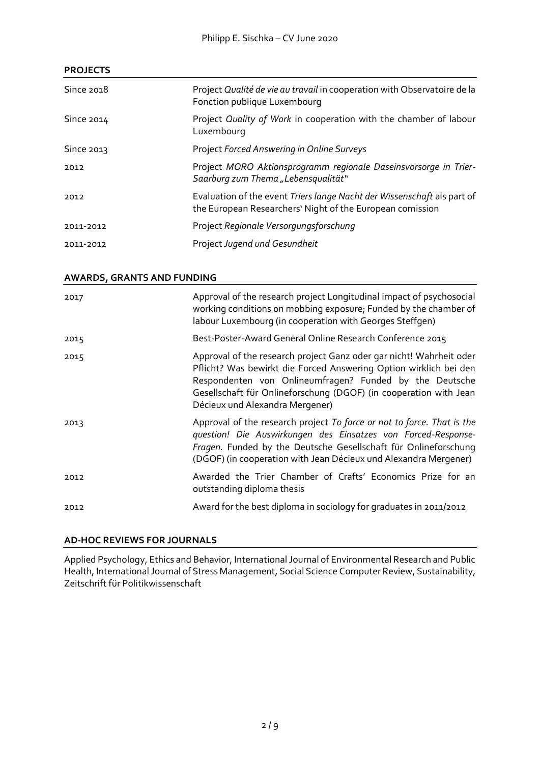# **PROJECTS**

| Since 2018 | Project Qualité de vie au travail in cooperation with Observatoire de la<br>Fonction publique Luxembourg                             |
|------------|--------------------------------------------------------------------------------------------------------------------------------------|
| Since 2014 | Project Quality of Work in cooperation with the chamber of labour<br>Luxembourg                                                      |
| Since 2013 | Project Forced Answering in Online Surveys                                                                                           |
| 2012       | Project MORO Aktionsprogramm regionale Daseinsvorsorge in Trier-<br>Saarburg zum Thema "Lebensqualität"                              |
| 2012       | Evaluation of the event Triers lange Nacht der Wissenschaft als part of<br>the European Researchers' Night of the European comission |
| 2011-2012  | Project Regionale Versorgungsforschung                                                                                               |
| 2011-2012  | Project Jugend und Gesundheit                                                                                                        |

# **AWARDS, GRANTS AND FUNDING**

| 2017 | Approval of the research project Longitudinal impact of psychosocial<br>working conditions on mobbing exposure; Funded by the chamber of<br>labour Luxembourg (in cooperation with Georges Steffgen)                                                                                                        |
|------|-------------------------------------------------------------------------------------------------------------------------------------------------------------------------------------------------------------------------------------------------------------------------------------------------------------|
| 2015 | Best-Poster-Award General Online Research Conference 2015                                                                                                                                                                                                                                                   |
| 2015 | Approval of the research project Ganz oder gar nicht! Wahrheit oder<br>Pflicht? Was bewirkt die Forced Answering Option wirklich bei den<br>Respondenten von Onlineumfragen? Funded by the Deutsche<br>Gesellschaft für Onlineforschung (DGOF) (in cooperation with Jean<br>Décieux und Alexandra Mergener) |
| 2013 | Approval of the research project To force or not to force. That is the<br>question! Die Auswirkungen des Einsatzes von Forced-Response-<br>Fragen. Funded by the Deutsche Gesellschaft für Onlineforschung<br>(DGOF) (in cooperation with Jean Décieux und Alexandra Mergener)                              |
| 2012 | Awarded the Trier Chamber of Crafts' Economics Prize for an<br>outstanding diploma thesis                                                                                                                                                                                                                   |
| 2012 | Award for the best diploma in sociology for graduates in 2011/2012                                                                                                                                                                                                                                          |

# **AD-HOC REVIEWS FOR JOURNALS**

Applied Psychology, Ethics and Behavior, International Journal of Environmental Research and Public Health, International Journal of Stress Management, Social Science Computer Review, Sustainability, Zeitschrift für Politikwissenschaft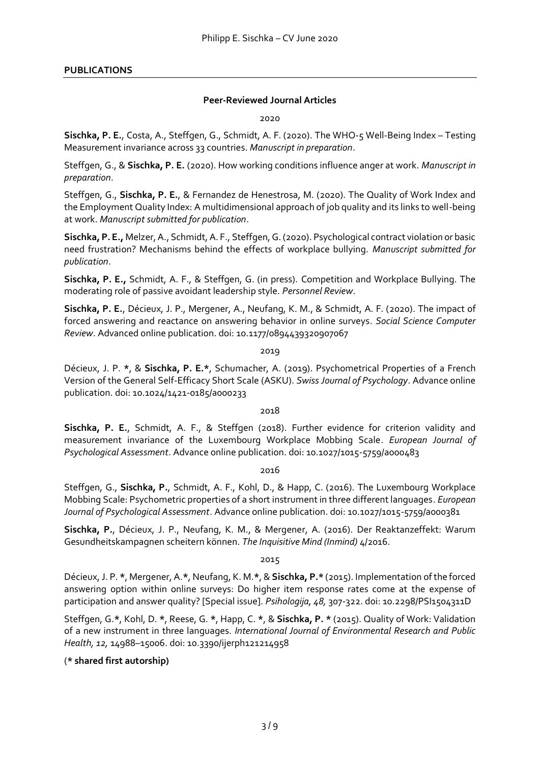### **PUBLICATIONS**

#### **Peer-Reviewed Journal Articles**

2020

**Sischka, P. E.**, Costa, A., Steffgen, G., Schmidt, A. F. (2020). The WHO-5 Well-Being Index – Testing Measurement invariance across 33 countries. *Manuscript in preparation*.

Steffgen, G., & **Sischka, P. E.** (2020). How working conditions influence anger at work. *Manuscript in preparation*.

Steffgen, G., **Sischka, P. E.**, & Fernandez de Henestrosa, M. (2020). The Quality of Work Index and the Employment Quality Index: A multidimensional approach of job quality and its links to well-being at work. *Manuscript submitted for publication*.

**Sischka, P. E.,** Melzer, A., Schmidt, A. F., Steffgen, G. (2020). Psychological contract violation or basic need frustration? Mechanisms behind the effects of workplace bullying. *Manuscript submitted for publication*.

**Sischka, P. E.,** Schmidt, A. F., & Steffgen, G. (in press). Competition and Workplace Bullying. The moderating role of passive avoidant leadership style. *Personnel Review*.

**Sischka, P. E.**, Décieux, J. P., Mergener, A., Neufang, K. M., & Schmidt, A. F. (2020). The impact of forced answering and reactance on answering behavior in online surveys. *Social Science Computer Review*. Advanced online publication. doi: 10.1177/0894439320907067

2019

Décieux, J. P. **\***, & **Sischka, P. E.\***, Schumacher, A. (2019). Psychometrical Properties of a French Version of the General Self-Efficacy Short Scale (ASKU). *Swiss Journal of Psychology*. Advance online publication. doi: 10.1024/1421-0185/a000233

#### 2018

**Sischka, P. E.**, Schmidt, A. F., & Steffgen (2018). Further evidence for criterion validity and measurement invariance of the Luxembourg Workplace Mobbing Scale. *European Journal of Psychological Assessment*. Advance online publication. doi: 10.1027/1015-5759/a000483

#### 2016

Steffgen, G., **Sischka, P.**, Schmidt, A. F., Kohl, D., & Happ, C. (2016). The Luxembourg Workplace Mobbing Scale: Psychometric properties of a short instrument in three different languages. *European Journal of Psychological Assessment*. Advance online publication. doi: 10.1027/1015-5759/a000381

**Sischka, P.**, Décieux, J. P., Neufang, K. M., & Mergener, A. (2016). Der Reaktanzeffekt: Warum Gesundheitskampagnen scheitern können. *The Inquisitive Mind (Inmind)* 4/2016.

2015

Décieux, J. P. **\***, Mergener, A.**\***, Neufang, K. M.**\***, & **Sischka, P.\*** (2015). Implementation of the forced answering option within online surveys: Do higher item response rates come at the expense of participation and answer quality? [Special issue]. *Psihologija, 48,* 307-322. doi: 10.2298/PSI1504311D

Steffgen, G.**\***, Kohl, D. **\***, Reese, G. **\***, Happ, C. **\***, & **Sischka, P. \*** (2015). Quality of Work: Validation of a new instrument in three languages. *International Journal of Environmental Research and Public Health, 12,* 14988–15006. doi: 10.3390/ijerph121214958

# (**\* shared first autorship)**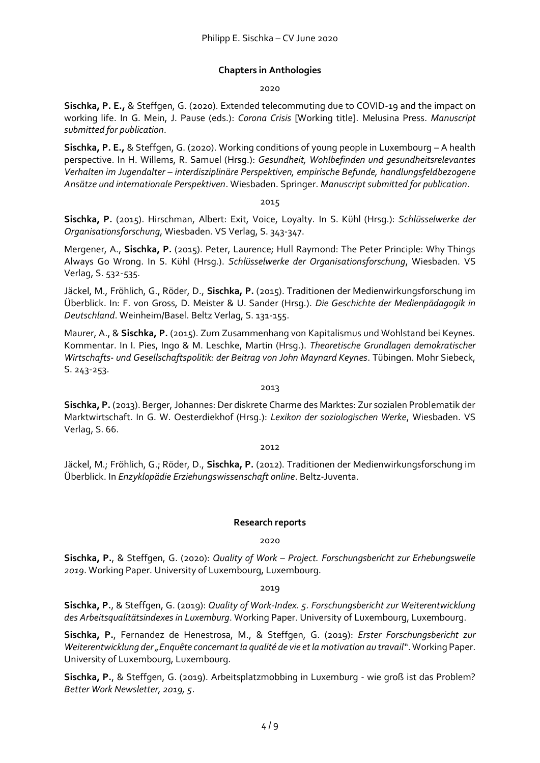# **Chapters in Anthologies**

#### 2020

**Sischka, P. E.,** & Steffgen, G. (2020). Extended telecommuting due to COVID-19 and the impact on working life. In G. Mein, J. Pause (eds.): *Corona Crisis* [Working title]. Melusina Press. *Manuscript submitted for publication*.

**Sischka, P. E.,** & Steffgen, G. (2020). Working conditions of young people in Luxembourg – A health perspective. In H. Willems, R. Samuel (Hrsg.): *Gesundheit, Wohlbefinden und gesundheitsrelevantes Verhalten im Jugendalter – interdisziplinäre Perspektiven, empirische Befunde, handlungsfeldbezogene Ansätze und internationale Perspektiven*. Wiesbaden. Springer. *Manuscript submitted for publication*.

#### 2015

**Sischka, P.** (2015). Hirschman, Albert: Exit, Voice, Loyalty. In S. Kühl (Hrsg.): *Schlüsselwerke der Organisationsforschung*, Wiesbaden. VS Verlag, S. 343-347.

Mergener, A., **Sischka, P.** (2015). Peter, Laurence; Hull Raymond: The Peter Principle: Why Things Always Go Wrong. In S. Kühl (Hrsg.). *Schlüsselwerke der Organisationsforschung*, Wiesbaden. VS Verlag, S. 532-535.

Jäckel, M., Fröhlich, G., Röder, D., **Sischka, P.** (2015). Traditionen der Medienwirkungsforschung im Überblick. In: F. von Gross, D. Meister & U. Sander (Hrsg.). *Die Geschichte der Medienpädagogik in Deutschland*. Weinheim/Basel. Beltz Verlag, S. 131-155.

Maurer, A., & **Sischka, P.** (2015). Zum Zusammenhang von Kapitalismus und Wohlstand bei Keynes. Kommentar. In I. Pies, Ingo & M. Leschke, Martin (Hrsg.). *Theoretische Grundlagen demokratischer Wirtschafts- und Gesellschaftspolitik: der Beitrag von John Maynard Keynes*. Tübingen. Mohr Siebeck, S. 243-253.

#### 2013

**Sischka, P.** (2013). Berger, Johannes: Der diskrete Charme des Marktes: Zur sozialen Problematik der Marktwirtschaft. In G. W. Oesterdiekhof (Hrsg.): *Lexikon der soziologischen Werke*, Wiesbaden. VS Verlag, S. 66.

#### 2012

Jäckel, M.; Fröhlich, G.; Röder, D., **Sischka, P.** (2012). Traditionen der Medienwirkungsforschung im Überblick. In *Enzyklopädie Erziehungswissenschaft online*. Beltz-Juventa.

# **Research reports**

#### 2020

**Sischka, P.**, & Steffgen, G. (2020): *Quality of Work – Project. Forschungsbericht zur Erhebungswelle 2019*. Working Paper. University of Luxembourg, Luxembourg.

#### 2019

**Sischka, P.**, & Steffgen, G. (2019): *Quality of Work-Index. 5. Forschungsbericht zur Weiterentwicklung des Arbeitsqualitätsindexes in Luxemburg*. Working Paper. University of Luxembourg, Luxembourg.

**Sischka, P.**, Fernandez de Henestrosa, M., & Steffgen, G. (2019): *Erster Forschungsbericht zur Weiterentwicklung der "Enquête concernant la qualité de vie et la motivation au travail"*. Working Paper. University of Luxembourg, Luxembourg.

**Sischka, P.**, & Steffgen, G. (2019). Arbeitsplatzmobbing in Luxemburg - wie groß ist das Problem? *Better Work Newsletter, 2019, 5*.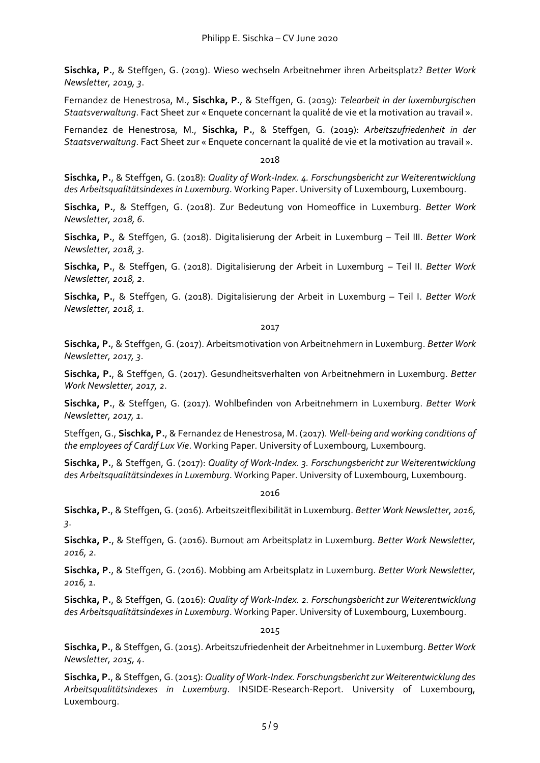**Sischka, P.**, & Steffgen, G. (2019). Wieso wechseln Arbeitnehmer ihren Arbeitsplatz? *Better Work Newsletter, 2019, 3*.

Fernandez de Henestrosa, M., **Sischka, P.**, & Steffgen, G. (2019): *Telearbeit in der luxemburgischen Staatsverwaltung*. Fact Sheet zur « Enquete concernant la qualité de vie et la motivation au travail ».

Fernandez de Henestrosa, M., **Sischka, P.**, & Steffgen, G. (2019): *Arbeitszufriedenheit in der Staatsverwaltung*. Fact Sheet zur « Enquete concernant la qualité de vie et la motivation au travail ».

#### 2018

**Sischka, P.**, & Steffgen, G. (2018): *Quality of Work-Index. 4. Forschungsbericht zur Weiterentwicklung des Arbeitsqualitätsindexes in Luxemburg*. Working Paper. University of Luxembourg, Luxembourg.

**Sischka, P.**, & Steffgen, G. (2018). Zur Bedeutung von Homeoffice in Luxemburg. *Better Work Newsletter, 2018, 6*.

**Sischka, P.**, & Steffgen, G. (2018). Digitalisierung der Arbeit in Luxemburg – Teil III. *Better Work Newsletter, 2018, 3*.

**Sischka, P.**, & Steffgen, G. (2018). Digitalisierung der Arbeit in Luxemburg – Teil II. *Better Work Newsletter, 2018, 2*.

**Sischka, P.**, & Steffgen, G. (2018). Digitalisierung der Arbeit in Luxemburg – Teil I. *Better Work Newsletter, 2018, 1*.

2017

**Sischka, P.**, & Steffgen, G. (2017). Arbeitsmotivation von Arbeitnehmern in Luxemburg. *Better Work Newsletter, 2017, 3*.

**Sischka, P.**, & Steffgen, G. (2017). Gesundheitsverhalten von Arbeitnehmern in Luxemburg. *Better Work Newsletter, 2017, 2*.

**Sischka, P.**, & Steffgen, G. (2017). Wohlbefinden von Arbeitnehmern in Luxemburg. *Better Work Newsletter, 2017, 1*.

Steffgen, G., **Sischka, P.**, & Fernandez de Henestrosa, M. (2017). *Well-being and working conditions of the employees of Cardif Lux Vie*. Working Paper. University of Luxembourg, Luxembourg.

**Sischka, P.**, & Steffgen, G. (2017): *Quality of Work-Index. 3. Forschungsbericht zur Weiterentwicklung des Arbeitsqualitätsindexes in Luxemburg*. Working Paper. University of Luxembourg, Luxembourg.

2016

**Sischka, P.**, & Steffgen, G. (2016). Arbeitszeitflexibilität in Luxemburg. *Better Work Newsletter, 2016, 3*.

**Sischka, P.**, & Steffgen, G. (2016). Burnout am Arbeitsplatz in Luxemburg. *Better Work Newsletter, 2016, 2*.

**Sischka, P.**, & Steffgen, G. (2016). Mobbing am Arbeitsplatz in Luxemburg. *Better Work Newsletter, 2016, 1*.

**Sischka, P.**, & Steffgen, G. (2016): *Quality of Work-Index. 2. Forschungsbericht zur Weiterentwicklung des Arbeitsqualitätsindexes in Luxemburg*. Working Paper. University of Luxembourg, Luxembourg.

2015

**Sischka, P.**, & Steffgen, G. (2015). Arbeitszufriedenheit der Arbeitnehmer in Luxemburg. *Better Work Newsletter, 2015, 4*.

**Sischka, P.**, & Steffgen, G. (2015): *Quality of Work-Index. Forschungsbericht zur Weiterentwicklung des Arbeitsqualitätsindexes in Luxemburg*. INSIDE-Research-Report. University of Luxembourg, Luxembourg.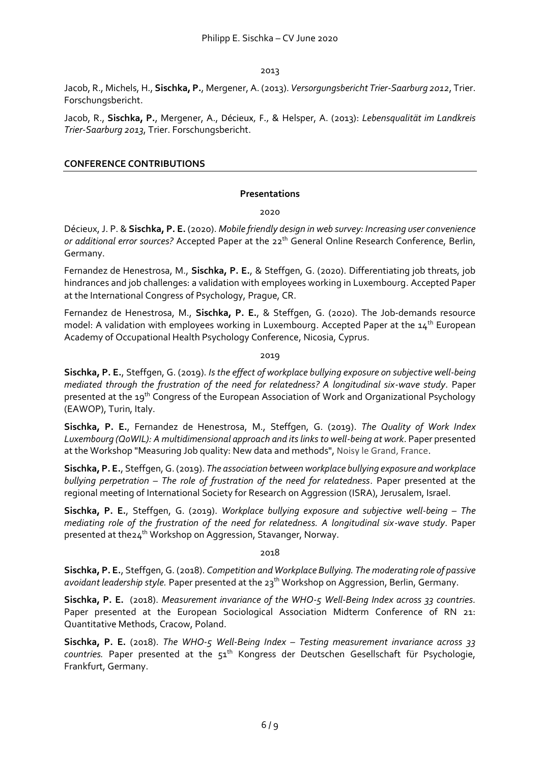2013

Jacob, R., Michels, H., **Sischka, P.**, Mergener, A. (2013). *Versorgungsbericht Trier-Saarburg 2012*, Trier. Forschungsbericht.

Jacob, R., **Sischka, P.**, Mergener, A., Décieux, F., & Helsper, A. (2013): *Lebensqualität im Landkreis Trier-Saarburg 2013*, Trier. Forschungsbericht.

# **CONFERENCE CONTRIBUTIONS**

#### **Presentations**

2020

Décieux, J. P. & **Sischka, P. E.** (2020). *Mobile friendly design in web survey: Increasing user convenience*  or additional error sources? Accepted Paper at the 22<sup>th</sup> General Online Research Conference, Berlin, Germany.

Fernandez de Henestrosa, M., **Sischka, P. E.**, & Steffgen, G. (2020). Differentiating job threats, job hindrances and job challenges: a validation with employees working in Luxembourg. Accepted Paper at the International Congress of Psychology, Prague, CR.

Fernandez de Henestrosa, M., **Sischka, P. E.**, & Steffgen, G. (2020). The Job-demands resource model: A validation with employees working in Luxembourg. Accepted Paper at the  $14^{\text{th}}$  European Academy of Occupational Health Psychology Conference, Nicosia, Cyprus.

2019

**Sischka, P. E.**, Steffgen, G. (2019). *Is the effect of workplace bullying exposure on subjective well-being mediated through the frustration of the need for relatedness? A longitudinal six-wave study*. Paper presented at the 19th Congress of the European Association of Work and Organizational Psychology (EAWOP), Turin, Italy.

**Sischka, P. E.**, Fernandez de Henestrosa, M., Steffgen, G. (2019). *The Quality of Work Index Luxembourg (QoWIL): A multidimensional approach and its links to well-being at work*. Paper presented at the Workshop "Measuring Job quality: New data and methods", Noisy le Grand, France.

**Sischka, P. E.**, Steffgen, G. (2019). *The association between workplace bullying exposure and workplace bullying perpetration – The role of frustration of the need for relatedness*. Paper presented at the regional meeting of International Society for Research on Aggression (ISRA), Jerusalem, Israel.

**Sischka, P. E.**, Steffgen, G. (2019). *Workplace bullying exposure and subjective well-being – The mediating role of the frustration of the need for relatedness. A longitudinal six-wave study*. Paper presented at the24<sup>th</sup> Workshop on Aggression, Stavanger, Norway.

#### 2018

**Sischka, P. E.**, Steffgen, G. (2018). *Competition and Workplace Bullying. The moderating role of passive avoidant leadership style.* Paper presented at the 23th Workshop on Aggression, Berlin, Germany.

**Sischka, P. E.** (2018). *Measurement invariance of the WHO-5 Well-Being Index across 33 countries.* Paper presented at the European Sociological Association Midterm Conference of RN 21: Quantitative Methods, Cracow, Poland.

**Sischka, P. E.** (2018). *The WHO-5 Well-Being Index – Testing measurement invariance across 33 countries.* Paper presented at the 51th Kongress der Deutschen Gesellschaft für Psychologie, Frankfurt, Germany.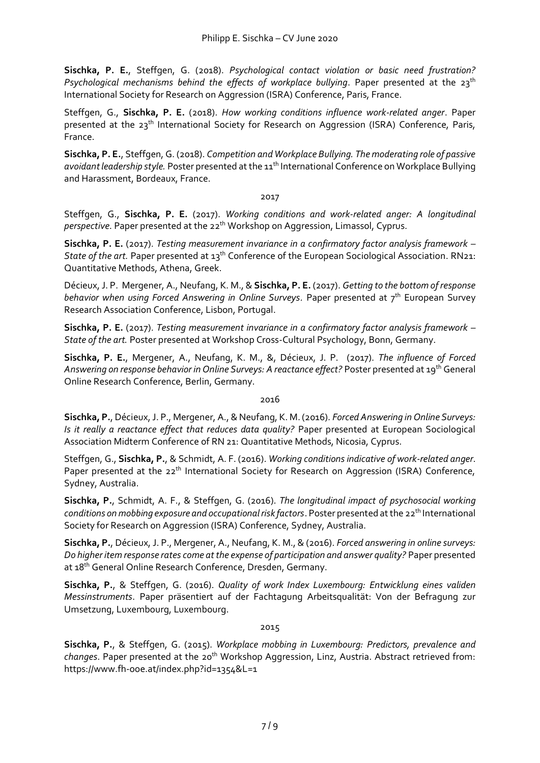**Sischka, P. E.**, Steffgen, G. (2018). *Psychological contact violation or basic need frustration?*  Psychological mechanisms behind the effects of workplace bullying. Paper presented at the 23<sup>th</sup> International Society for Research on Aggression (ISRA) Conference, Paris, France.

Steffgen, G., **Sischka, P. E.** (2018). *How working conditions influence work-related anger*. Paper presented at the 23th International Society for Research on Aggression (ISRA) Conference, Paris, France.

**Sischka, P. E.**, Steffgen, G. (2018). *Competition and Workplace Bullying. The moderating role of passive avoidant leadership style.* Poster presented at the 11th International Conference on Workplace Bullying and Harassment, Bordeaux, France.

#### 2017

Steffgen, G., **Sischka, P. E.** (2017). *Working conditions and work-related anger: A longitudinal perspective*. Paper presented at the 22<sup>th</sup> Workshop on Aggression, Limassol, Cyprus.

**Sischka, P. E.** (2017). *Testing measurement invariance in a confirmatory factor analysis framework –* State of the art. Paper presented at 13<sup>th</sup> Conference of the European Sociological Association. RN21: Quantitative Methods, Athena, Greek.

Décieux, J. P. Mergener, A., Neufang, K. M., & **Sischka, P. E.** (2017). *Getting to the bottom of response behavior when using Forced Answering in Online Surveys.* Paper presented at 7th European Survey Research Association Conference, Lisbon, Portugal.

**Sischka, P. E.** (2017). *Testing measurement invariance in a confirmatory factor analysis framework – State of the art.* Poster presented at Workshop Cross-Cultural Psychology, Bonn, Germany.

**Sischka, P. E.**, Mergener, A., Neufang, K. M., &, Décieux, J. P. (2017). *The influence of Forced Answering on response behavior in Online Surveys: A reactance effect?* Poster presented at 19th General Online Research Conference, Berlin, Germany.

#### 2016

**Sischka, P.**, Décieux, J. P., Mergener, A., & Neufang, K. M. (2016). *Forced Answering in Online Surveys: Is it really a reactance effect that reduces data quality?* Paper presented at European Sociological Association Midterm Conference of RN 21: Quantitative Methods, Nicosia, Cyprus.

Steffgen, G., **Sischka, P.**, & Schmidt, A. F. (2016). *Working conditions indicative of work-related anger*. Paper presented at the 22<sup>th</sup> International Society for Research on Aggression (ISRA) Conference, Sydney, Australia.

**Sischka, P.**, Schmidt, A. F., & Steffgen, G. (2016). *The longitudinal impact of psychosocial working conditions on mobbing exposure and occupational risk factors*. Poster presented at the 22<sup>th</sup> International Society for Research on Aggression (ISRA) Conference, Sydney, Australia.

**Sischka, P.**, Décieux, J. P., Mergener, A., Neufang, K. M., & (2016). *Forced answering in online surveys: Do higher item response rates come at the expense of participation and answer quality?* Paper presented at 18<sup>th</sup> General Online Research Conference, Dresden, Germany.

**Sischka, P.**, & Steffgen, G. (2016). *Quality of work Index Luxembourg: Entwicklung eines validen Messinstruments*. Paper präsentiert auf der Fachtagung Arbeitsqualität: Von der Befragung zur Umsetzung, Luxembourg, Luxembourg.

#### 2015

**Sischka, P.**, & Steffgen, G. (2015). *Workplace mobbing in Luxembourg: Predictors, prevalence and changes*. Paper presented at the 20th Workshop Aggression, Linz, Austria. Abstract retrieved from: https://www.fh-ooe.at/index.php?id=1354&L=1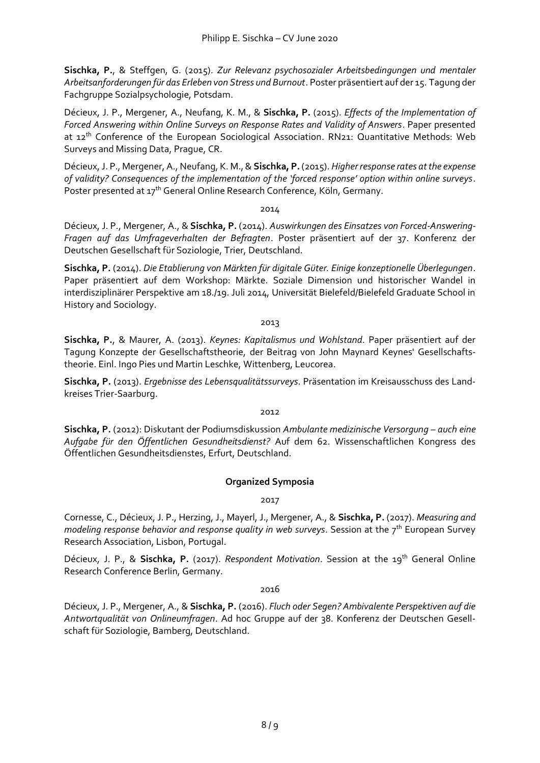**Sischka, P.**, & Steffgen, G. (2015). *Zur Relevanz psychosozialer Arbeitsbedingungen und mentaler Arbeitsanforderungen für das Erleben von Stress und Burnout*. Poster präsentiert auf der 15. Tagung der Fachgruppe Sozialpsychologie, Potsdam.

Décieux, J. P., Mergener, A., Neufang, K. M., & **Sischka, P.** (2015). *Effects of the Implementation of Forced Answering within Online Surveys on Response Rates and Validity of Answers*. Paper presented at 12<sup>th</sup> Conference of the European Sociological Association. RN21: Quantitative Methods: Web Surveys and Missing Data, Prague, CR.

Décieux, J. P., Mergener, A., Neufang, K. M., & **Sischka, P.** (2015). *Higher response rates at the expense of validity? Consequences of the implementation of the 'forced response' option within online surveys*. Poster presented at 17<sup>th</sup> General Online Research Conference, Köln, Germany.

#### 2014

Décieux, J. P., Mergener, A., & **Sischka, P.** (2014). *Auswirkungen des Einsatzes von Forced-Answering-Fragen auf das Umfrageverhalten der Befragten*. Poster präsentiert auf der 37. Konferenz der Deutschen Gesellschaft für Soziologie, Trier, Deutschland.

**Sischka, P.** (2014). *Die Etablierung von Märkten für digitale Güter. Einige konzeptionelle Überlegungen*. Paper präsentiert auf dem Workshop: Märkte. Soziale Dimension und historischer Wandel in interdisziplinärer Perspektive am 18./19. Juli 2014, Universität Bielefeld/Bielefeld Graduate School in History and Sociology.

2013

**Sischka, P.**, & Maurer, A. (2013). *Keynes: Kapitalismus und Wohlstand*. Paper präsentiert auf der Tagung Konzepte der Gesellschaftstheorie, der Beitrag von John Maynard Keynes' Gesellschaftstheorie. Einl. Ingo Pies und Martin Leschke, Wittenberg, Leucorea.

**Sischka, P.** (2013). *Ergebnisse des Lebensqualitätssurveys*. Präsentation im Kreisausschuss des Landkreises Trier-Saarburg.

#### 2012

**Sischka, P.** (2012): Diskutant der Podiumsdiskussion *Ambulante medizinische Versorgung – auch eine Aufgabe für den Öffentlichen Gesundheitsdienst?* Auf dem 62. Wissenschaftlichen Kongress des Öffentlichen Gesundheitsdienstes, Erfurt, Deutschland.

# **Organized Symposia**

2017

Cornesse, C., Décieux, J. P., Herzing, J., Mayerl, J., Mergener, A., & **Sischka, P.** (2017). *Measuring and modeling response behavior and response quality in web surveys. Session at the 7<sup>th</sup> European Survey* Research Association, Lisbon, Portugal.

Décieux, J. P., & Sischka, P. (2017). *Respondent Motivation*. Session at the 19<sup>th</sup> General Online Research Conference Berlin, Germany.

2016

Décieux, J. P., Mergener, A., & **Sischka, P.** (2016). *Fluch oder Segen? Ambivalente Perspektiven auf die Antwortqualität von Onlineumfragen*. Ad hoc Gruppe auf der 38. Konferenz der Deutschen Gesellschaft für Soziologie, Bamberg, Deutschland.